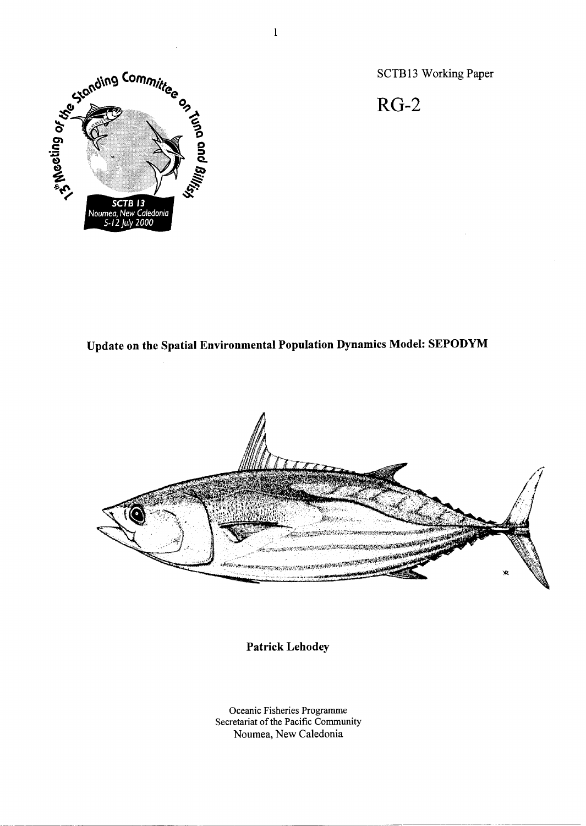

SCTB13 Working Paper

RG-2

**Update on the Spatial Environmental Population Dynamics Model: SEPODYM** 



**Patrick Lehodey** 

Oceanic Fisheries Programme Secretariat of the Pacific Community Noumea, New Caledonia

 $\mathbf{1}$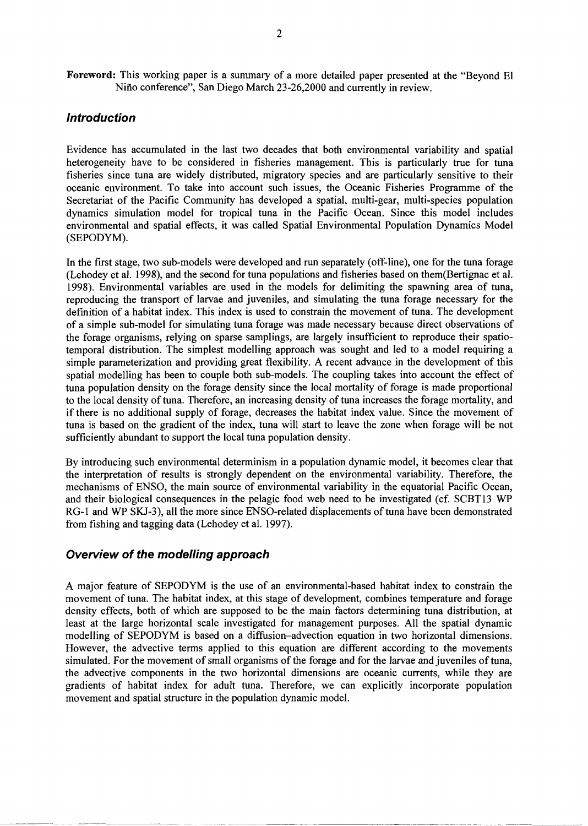**Foreword:** This working paper is a summary of a more detailed paper presented at the "Beyond El Nino conference", San Diego March 23-26,2000 and currently in review.

# **Introduction**

Evidence has accumulated in the last two decades that both environmental variability and spatial heterogeneity have to be considered in fisheries management. This is particularly true for tuna fisheries since tuna are widely distributed, migratory species and are particularly sensitive to their oceanic environment. To take into account such issues, the Oceanic Fisheries Programme of the Secretariat of the Pacific Community has developed a spatial, multi-gear, multi-species population dynamics simulation model for tropical tuna in the Pacific Ocean. Since this model includes environmental and spatial effects, it was called Spatial Environmental Population Dynamics Model (SEPODYM).

In the first stage, two sub-models were developed and run separately (off-line), one for the tuna forage (Lehodey et al. 1998), and the second for tuna populations and fisheries based on them(Bertignac et al. 1998). Environmental variables are used in the models for delimiting the spawning area of tuna, reproducing the transport of larvae and juveniles, and simulating the tuna forage necessary for the definition of a habitat index. This index is used to constrain the movement of tuna. The development of a simple sub-model for simulating tuna forage was made necessary because direct observations of the forage organisms, relying on sparse samplings, are largely insufficient to reproduce their spatiotemporal distribution. The simplest modelling approach was sought and led to a model requiring a simple parameterization and providing great flexibility. A recent advance in the development of this spatial modelling has been to couple both sub-models. The coupling takes into account the effect of tuna population density on the forage density since the local mortality of forage is made proportional to the local density of tuna. Therefore, an increasing density of tuna increases the forage mortality, and if there is no additional supply of forage, decreases the habitat index value. Since the movement of tuna is based on the gradient of the index, tuna will start to leave the zone when forage will be not sufficiently abundant to support the local tuna population density.

By introducing such environmental determinism in a population dynamic model, it becomes clear that the interpretation of results is strongly dependent on the environmental variability. Therefore, the mechanisms of ENSO, the main source of environmental variability in the equatorial Pacific Ocean, and their biological consequences in the pelagic food web need to be investigated (cf. SCBT13 WP RG-1 and WP SKJ-3), all the more since ENSO-related displacements of tuna have been demonstrated from fishing and tagging data (Lehodey et al. 1997).

#### **Overview of the modelling approach**

*A* major feature of SEPODYM is the use of an environmental-based habitat index to constrain the movement of tuna. The habitat index, at this stage of development, combines temperature and forage density effects, both of which are supposed to be the main factors determining tuna distribution, at least at the large horizontal scale investigated for management purposes. All the spatial dynamic modelling of SEPODYM is based on a diffusion-advection equation in two horizontal dimensions. However, the advective terms applied to this equation are different according to the movements simulated. For the movement of small organisms of the forage and for the larvae and juveniles of tuna, the advective components in the two horizontal dimensions are oceanic currents, while they are gradients of habitat index for adult tuna. Therefore, we can explicitly incorporate population movement and spatial structure in the population dynamic model.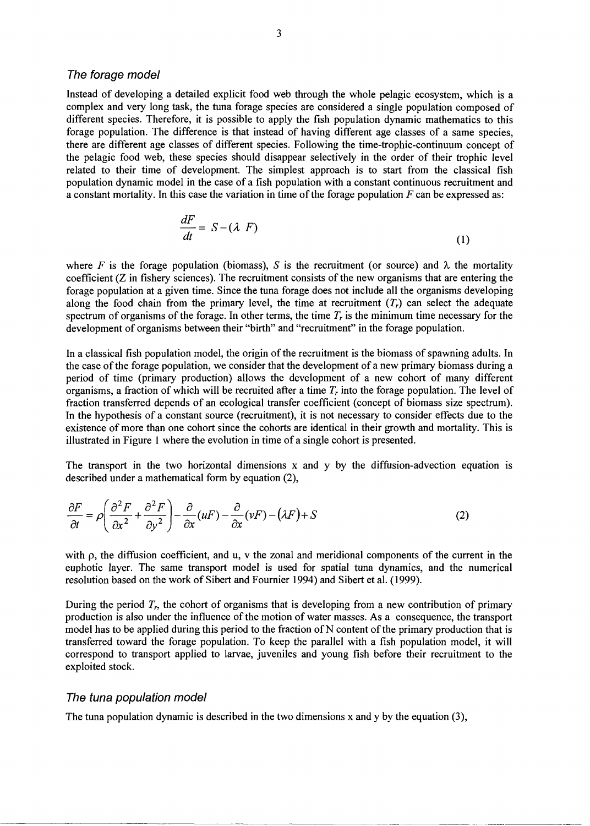### The forage model

Instead of developing a detailed explicit food web through the whole pelagic ecosystem, which is a complex and very long task, the tuna forage species are considered a single population composed of different species. Therefore, it is possible to apply the fish population dynamic mathematics to this forage population. The difference is that instead of having different age classes of a same species, there are different age classes of different species. Following the time-trophic-continuum concept of the pelagic food web, these species should disappear selectively in the order of their trophic level related to their time of development. The simplest approach is to start from the classical fish population dynamic model in the case of a fish population with a constant continuous recruitment and a constant mortality. In this case the variation in time of the forage population *F* can be expressed as:

$$
\frac{dF}{dt} = S - (\lambda \ F) \tag{1}
$$

where *F* is the forage population (biomass), *S* is the recruitment (or source) and  $\lambda$  the mortality coefficient (Z in fishery sciences). The recruitment consists of the new organisms that are entering the forage population at a given time. Since the tuna forage does not include all the organisms developing along the food chain from the primary level, the time at recruitment  $(T<sub>r</sub>)$  can select the adequate spectrum of organisms of the forage. In other terms, the time *T<sup>r</sup>* is the minimum time necessary for the development of organisms between their "birth" and "recruitment" in the forage population.

In a classical fish population model, the origin of the recruitment is the biomass of spawning adults. In the case of the forage population, we consider that the development of a new primary biomass during a period of time (primary production) allows the development of a new cohort of many different organisms, a fraction of which will be recruited after a time *T<sup>r</sup>* into the forage population. The level of fraction transferred depends of an ecological transfer coefficient (concept of biomass size spectrum). In the hypothesis of a constant source (recruitment), it is not necessary to consider effects due to the existence of more than one cohort since the cohorts are identical in their growth and mortality. This is illustrated in Figure 1 where the evolution in time of a single cohort is presented.

The transport in the two horizontal dimensions  $x$  and  $y$  by the diffusion-advection equation is described under a mathematical form by equation (2),

$$
\frac{\partial F}{\partial t} = \rho \left( \frac{\partial^2 F}{\partial x^2} + \frac{\partial^2 F}{\partial y^2} \right) - \frac{\partial}{\partial x} (\mu F) - \frac{\partial}{\partial x} (\nu F) - (\lambda F) + S \tag{2}
$$

with  $\rho$ , the diffusion coefficient, and  $u$ ,  $v$  the zonal and meridional components of the current in the euphotic layer. The same transport model is used for spatial tuna dynamics, and the numerical resolution based on the work of Sibert and Fournier 1994) and Sibert et al. (1999).

During the period  $T_r$ , the cohort of organisms that is developing from a new contribution of primary production is also under the influence of the motion of water masses. As a consequence, the transport model has to be applied during this period to the fraction of N content of the primary production that is transferred toward the forage population. To keep the parallel with a fish population model, it will correspond to transport applied to larvae, juveniles and young fish before their recruitment to the exploited stock.

#### The tuna population model

The tuna population dynamic is described in the two dimensions x and y by the equation  $(3)$ ,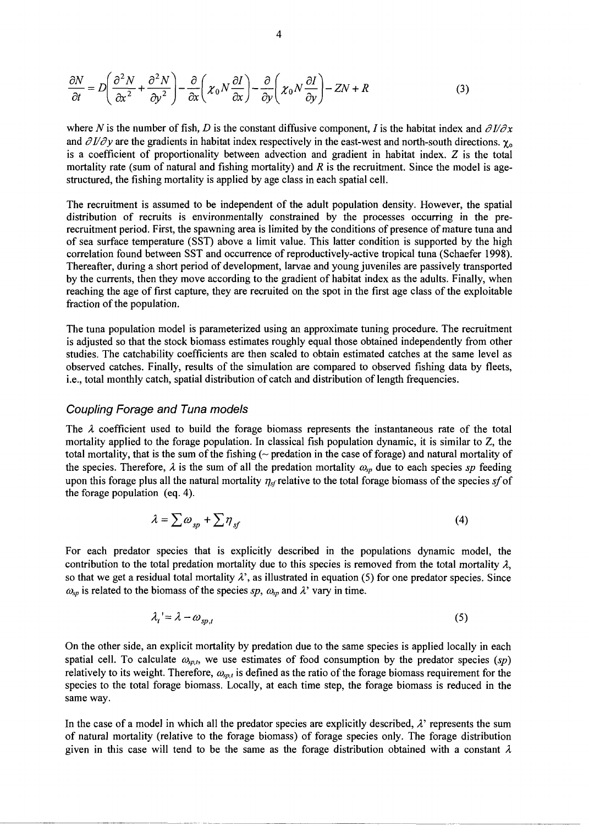$$
\frac{\partial N}{\partial t} = D \left( \frac{\partial^2 N}{\partial x^2} + \frac{\partial^2 N}{\partial y^2} \right) - \frac{\partial}{\partial x} \left( \chi_0 N \frac{\partial I}{\partial x} \right) - \frac{\partial}{\partial y} \left( \chi_0 N \frac{\partial I}{\partial y} \right) - ZN + R \tag{3}
$$

where *N* is the number of fish, *D* is the constant diffusive component, *I* is the habitat index and  $\partial I/\partial x$ and  $\partial I/\partial y$  are the gradients in habitat index respectively in the east-west and north-south directions.  $\chi_0$ is a coefficient of proportionality between advection and gradient in habitat index. Z is the total mortality rate (sum of natural and fishing mortality) and *R* is the recruitment. Since the model is agestructured, the fishing mortality is applied by age class in each spatial cell.

The recruitment is assumed to be independent of the adult population density. However, the spatial distribution of recruits is environmentally constrained by the processes occurring in the prerecruitment period. First, the spawning area is limited by the conditions of presence of mature tuna and of sea surface temperature (SST) above a limit value. This latter condition is supported by the high correlation found between SST and occurrence of reproductively-active tropical tuna (Schaefer 1998). Thereafter, during a short period of development, larvae and young juveniles are passively transported by the currents, then they move according to the gradient of habitat index as the adults. Finally, when reaching the age of first capture, they are recruited on the spot in the first age class of the exploitable fraction of the population.

The tuna population model is parameterized using an approximate tuning procedure. The recruitment is adjusted so that the stock biomass estimates roughly equal those obtained independently from other studies. The catchability coefficients are then scaled to obtain estimated catches at the same level as observed catches. Finally, results of the simulation are compared to observed fishing data by fleets, i.e., total monthly catch, spatial distribution of catch and distribution of length frequencies.

### Coupling Forage and Tuna models

The  $\lambda$  coefficient used to build the forage biomass represents the instantaneous rate of the total mortality applied to the forage population. In classical fish population dynamic, it is similar to Z, the total mortality, that is the sum of the fishing (~ predation in the case of forage) and natural mortality of the species. Therefore,  $\lambda$  is the sum of all the predation mortality  $\omega_{sp}$  due to each species sp feeding upon this forage plus all the natural mortality  $\eta_{sf}$  relative to the total forage biomass of the species  $sf$  of the forage population (eq. 4).

$$
\lambda = \sum \omega_{sp} + \sum \eta_{sf} \tag{4}
$$

For each predator species that is explicitly described in the populations dynamic model, the contribution to the total predation mortality due to this species is removed from the total mortality *X,*  so that we get a residual total mortality  $\lambda$ <sup>'</sup>, as illustrated in equation (5) for one predator species. Since  $\omega_{sp}$  is related to the biomass of the species sp,  $\omega_{sp}$  and  $\lambda$ ' vary in time.

$$
\lambda_t = \lambda - \omega_{sp,t} \tag{5}
$$

On the other side, an explicit mortality by predation due to the same species is applied locally in each spatial cell. To calculate  $\omega_{sp,t}$ , we use estimates of food consumption by the predator species  $(sp)$ relatively to its weight. Therefore,  $\omega_{sp,t}$  is defined as the ratio of the forage biomass requirement for the species to the total forage biomass. Locally, at each time step, the forage biomass is reduced in the same way.

In the case of a model in which all the predator species are explicitly described,  $\lambda$ <sup>'</sup> represents the sum of natural mortality (relative to the forage biomass) of forage species only. The forage distribution given in this case will tend to be the same as the forage distribution obtained with a constant  $\lambda$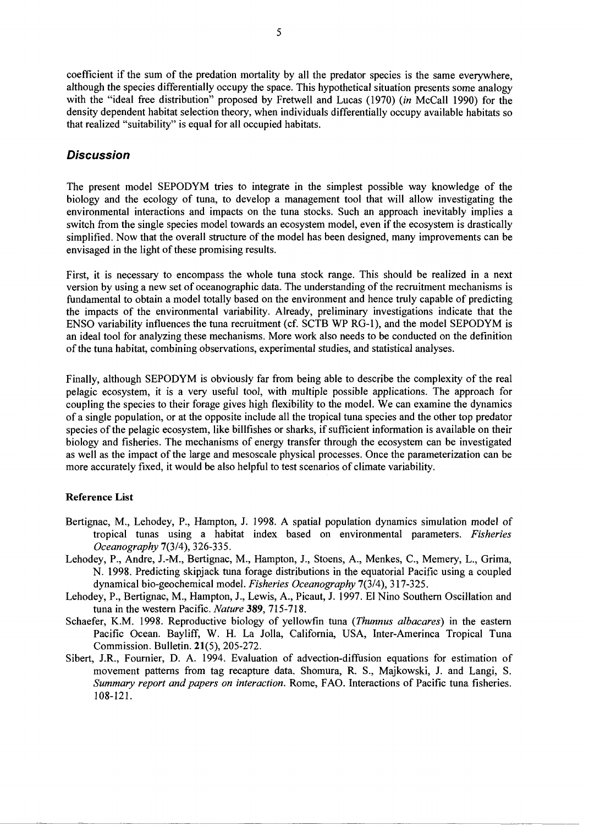coefficient if the sum of the predation mortality by all the predator species is the same everywhere, although the species differentially occupy the space. This hypothetical situation presents some analogy with the "ideal free distribution" proposed by Fretwell and Lucas (1970) (in McCall 1990) for the density dependent habitat selection theory, when individuals differentially occupy available habitats so that realized "suitability" is equal for all occupied habitats.

## Discussion

The present model SEPODYM tries to integrate in the simplest possible way knowledge of the biology and the ecology of tuna, to develop a management tool that will allow investigating the environmental interactions and impacts on the tuna stocks. Such an approach inevitably implies a switch from the single species model towards an ecosystem model, even if the ecosystem is drastically simplified. Now that the overall structure of the model has been designed, many improvements can be envisaged in the light of these promising results.

First, it is necessary to encompass the whole tuna stock range. This should be realized in a next version by using a new set of oceanographic data. The understanding of the recruitment mechanisms is fundamental to obtain a model totally based on the environment and hence truly capable of predicting the impacts of the environmental variability. Already, preliminary investigations indicate that the ENSO variability influences the tuna recruitment (cf. SCTB WP RG-1), and the model SEPODYM is an ideal tool for analyzing these mechanisms. More work also needs to be conducted on the definition of the tuna habitat, combining observations, experimental studies, and statistical analyses.

Finally, although SEPODYM is obviously far from being able to describe the complexity of the real pelagic ecosystem, it is a very useful tool, with multiple possible applications. The approach for coupling the species to their forage gives high flexibility to the model. We can examine the dynamics of a single population, or at the opposite include all the tropical tuna species and the other top predator species of the pelagic ecosystem, like billfishes or sharks, if sufficient information is available on their biology and fisheries. The mechanisms of energy transfer through the ecosystem can be investigated as well as the impact of the large and mesoscale physical processes. Once the parameterization can be more accurately fixed, it would be also helpful to test scenarios of climate variability.

#### Reference List

- Bertignac, M., Lehodey, P., Hampton, J. 1998. A spatial population dynamics simulation model of tropical tunas using a habitat index based on environmental parameters. *Fisheries Oceanography* 7(3/4), 326-335.
- Lehodey, P., Andre, J.-M., Bertignac, M., Hampton, J., Stoens, A., Menkes, C, Memery, L., Grima, N. 1998. Predicting skipjack tuna forage distributions in the equatorial Pacific using a coupled dynamical bio-geochemical model. *Fisheries Oceanography* 7(3/4), 317-325.
- Lehodey, P., Bertignac, M., Hampton, J., Lewis, A., Picaut, J. 1997. El Nino Southern Oscillation and tuna in the western Pacific. *Nature* 389, 715-718.
- Schaefer, K.M. 1998. Reproductive biology of yellowfin tuna *(Thunnus albacares)* in the eastern Pacific Ocean. Bayliff, W. H. La Jolla, California, USA, Inter-Amerinca Tropical Tuna Commission. Bulletin. 21(5), 205-272.
- Sibert, J.R., Fournier, D. A. 1994. Evaluation of advection-diffusion equations for estimation of movement patterns from tag recapture data. Shomura, R. S., Majkowski, J. and Langi, S. *Summary report and papers on interaction.* Rome, FAO. Interactions of Pacific tuna fisheries. 108-121.